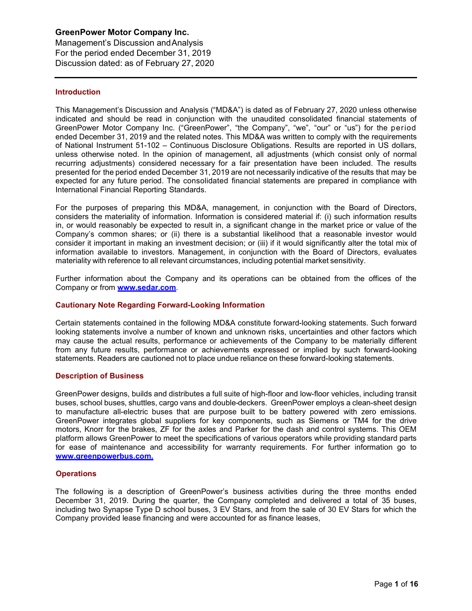Management's Discussion andAnalysis For the period ended December 31, 2019 Discussion dated: as of February 27, 2020

## **Introduction**

This Management's Discussion and Analysis ("MD&A") is dated as of February 27, 2020 unless otherwise indicated and should be read in conjunction with the unaudited consolidated financial statements of GreenPower Motor Company Inc. ("GreenPower", "the Company", "we", "our" or "us") for the period ended December 31, 2019 and the related notes. This MD&A was written to comply with the requirements of National Instrument 51-102 – Continuous Disclosure Obligations. Results are reported in US dollars, unless otherwise noted. In the opinion of management, all adjustments (which consist only of normal recurring adjustments) considered necessary for a fair presentation have been included. The results presented for the period ended December 31, 2019 are not necessarily indicative of the results that may be expected for any future period. The consolidated financial statements are prepared in compliance with International Financial Reporting Standards.

For the purposes of preparing this MD&A, management, in conjunction with the Board of Directors, considers the materiality of information. Information is considered material if: (i) such information results in, or would reasonably be expected to result in, a significant change in the market price or value of the Company's common shares; or (ii) there is a substantial likelihood that a reasonable investor would consider it important in making an investment decision; or (iii) if it would significantly alter the total mix of information available to investors. Management, in conjunction with the Board of Directors, evaluates materiality with reference to all relevant circumstances, including potential market sensitivity.

Further information about the Company and its operations can be obtained from the offices of the Company or from **[www.sedar.com](http://www.sedar.com/)**.

## **Cautionary Note Regarding Forward-Looking Information**

Certain statements contained in the following MD&A constitute forward-looking statements. Such forward looking statements involve a number of known and unknown risks, uncertainties and other factors which may cause the actual results, performance or achievements of the Company to be materially different from any future results, performance or achievements expressed or implied by such forward-looking statements. Readers are cautioned not to place undue reliance on these forward-looking statements.

## **Description of Business**

GreenPower designs, builds and distributes a full suite of high-floor and low-floor vehicles, including transit buses, school buses, shuttles, cargo vans and double-deckers. GreenPower employs a clean-sheet design to manufacture all-electric buses that are purpose built to be battery powered with zero emissions. GreenPower integrates global suppliers for key components, such as Siemens or TM4 for the drive motors, Knorr for the brakes, ZF for the axles and Parker for the dash and control systems. This OEM platform allows GreenPower to meet the specifications of various operators while providing standard parts for ease of maintenance and accessibility for warranty requirements. For further information go to **[www.greenpowerbus.com.](http://www.greenpowerbus.com/)**

## **Operations**

The following is a description of GreenPower's business activities during the three months ended December 31, 2019. During the quarter, the Company completed and delivered a total of 35 buses, including two Synapse Type D school buses, 3 EV Stars, and from the sale of 30 EV Stars for which the Company provided lease financing and were accounted for as finance leases,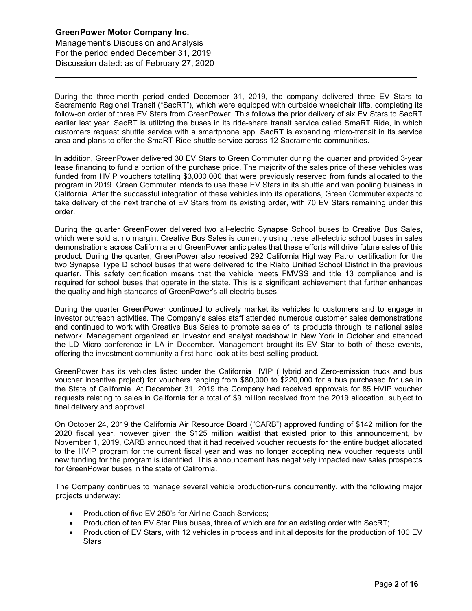Management's Discussion andAnalysis For the period ended December 31, 2019 Discussion dated: as of February 27, 2020

During the three-month period ended December 31, 2019, the company delivered three EV Stars to Sacramento Regional Transit ("SacRT"), which were equipped with curbside wheelchair lifts, completing its follow-on order of three EV Stars from GreenPower. This follows the prior delivery of six EV Stars to SacRT earlier last year. SacRT is utilizing the buses in its ride-share transit service called SmaRT Ride, in which customers request shuttle service with a smartphone app. SacRT is expanding micro-transit in its service area and plans to offer the SmaRT Ride shuttle service across 12 Sacramento communities.

In addition, GreenPower delivered 30 EV Stars to Green Commuter during the quarter and provided 3-year lease financing to fund a portion of the purchase price. The majority of the sales price of these vehicles was funded from HVIP vouchers totalling \$3,000,000 that were previously reserved from funds allocated to the program in 2019. Green Commuter intends to use these EV Stars in its shuttle and van pooling business in California. After the successful integration of these vehicles into its operations, Green Commuter expects to take delivery of the next tranche of EV Stars from its existing order, with 70 EV Stars remaining under this order.

During the quarter GreenPower delivered two all-electric Synapse School buses to Creative Bus Sales, which were sold at no margin. Creative Bus Sales is currently using these all-electric school buses in sales demonstrations across California and GreenPower anticipates that these efforts will drive future sales of this product. During the quarter, GreenPower also received 292 California Highway Patrol certification for the two Synapse Type D school buses that were delivered to the Rialto Unified School District in the previous quarter. This safety certification means that the vehicle meets FMVSS and title 13 compliance and is required for school buses that operate in the state. This is a significant achievement that further enhances the quality and high standards of GreenPower's all-electric buses.

During the quarter GreenPower continued to actively market its vehicles to customers and to engage in investor outreach activities. The Company's sales staff attended numerous customer sales demonstrations and continued to work with Creative Bus Sales to promote sales of its products through its national sales network. Management organized an investor and analyst roadshow in New York in October and attended the LD Micro conference in LA in December. Management brought its EV Star to both of these events, offering the investment community a first-hand look at its best-selling product.

GreenPower has its vehicles listed under the California HVIP (Hybrid and Zero-emission truck and bus voucher incentive project) for vouchers ranging from \$80,000 to \$220,000 for a bus purchased for use in the State of California. At December 31, 2019 the Company had received approvals for 85 HVIP voucher requests relating to sales in California for a total of \$9 million received from the 2019 allocation, subject to final delivery and approval.

On October 24, 2019 the California Air Resource Board ("CARB") approved funding of \$142 million for the 2020 fiscal year, however given the \$125 million waitlist that existed prior to this announcement, by November 1, 2019, CARB announced that it had received voucher requests for the entire budget allocated to the HVIP program for the current fiscal year and was no longer accepting new voucher requests until new funding for the program is identified. This announcement has negatively impacted new sales prospects for GreenPower buses in the state of California.

The Company continues to manage several vehicle production-runs concurrently, with the following major projects underway:

- Production of five EV 250's for Airline Coach Services;
- Production of ten EV Star Plus buses, three of which are for an existing order with SacRT;
- Production of EV Stars, with 12 vehicles in process and initial deposits for the production of 100 EV **Stars**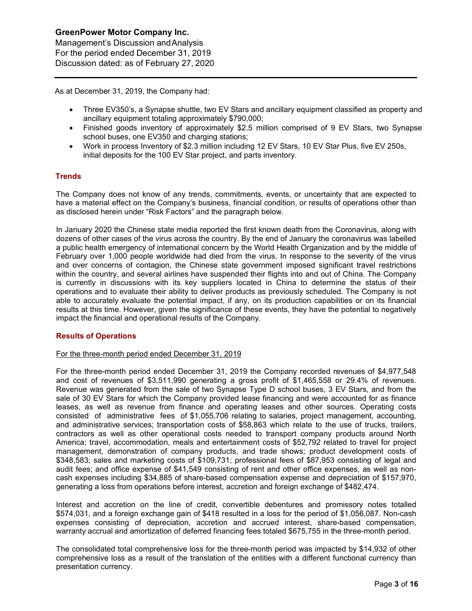Management's Discussion andAnalysis For the period ended December 31, 2019 Discussion dated: as of February 27, 2020

As at December 31, 2019, the Company had:

- Three EV350's, a Synapse shuttle, two EV Stars and ancillary equipment classified as property and ancillary equipment totaling approximately \$790,000;
- Finished goods inventory of approximately \$2.5 million comprised of 9 EV Stars, two Synapse school buses, one EV350 and charging stations;
- Work in process Inventory of \$2.3 million including 12 EV Stars, 10 EV Star Plus, five EV 250s, initial deposits for the 100 EV Star project, and parts inventory.

## **Trends**

The Company does not know of any trends, commitments, events, or uncertainty that are expected to have a material effect on the Company's business, financial condition, or results of operations other than as disclosed herein under "Risk Factors" and the paragraph below.

In January 2020 the Chinese state media reported the first known death from the Coronavirus, along with dozens of other cases of the virus across the country. By the end of January the coronavirus was labelled a public health emergency of international concern by the World Health Organization and by the middle of February over 1,000 people worldwide had died from the virus. In response to the severity of the virus and over concerns of contagion, the Chinese state government imposed significant travel restrictions within the country, and several airlines have suspended their flights into and out of China. The Company is currently in discussions with its key suppliers located in China to determine the status of their operations and to evaluate their ability to deliver products as previously scheduled. The Company is not able to accurately evaluate the potential impact, if any, on its production capabilities or on its financial results at this time. However, given the significance of these events, they have the potential to negatively impact the financial and operational results of the Company.

## **Results of Operations**

## For the three-month period ended December 31, 2019

For the three-month period ended December 31, 2019 the Company recorded revenues of \$4,977,548 and cost of revenues of \$3,511,990 generating a gross profit of \$1,465,558 or 29.4% of revenues. Revenue was generated from the sale of two Synapse Type D school buses, 3 EV Stars, and from the sale of 30 EV Stars for which the Company provided lease financing and were accounted for as finance leases, as well as revenue from finance and operating leases and other sources. Operating costs consisted of administrative fees of \$1,055,706 relating to salaries, project management, accounting, and administrative services; transportation costs of \$58,863 which relate to the use of trucks, trailers, contractors as well as other operational costs needed to transport company products around North America; travel, accommodation, meals and entertainment costs of \$52,792 related to travel for project management, demonstration of company products, and trade shows; product development costs of \$348,583; sales and marketing costs of \$109,731; professional fees of \$87,953 consisting of legal and audit fees; and office expense of \$41,549 consisting of rent and other office expenses, as well as noncash expenses including \$34,885 of share-based compensation expense and depreciation of \$157,970, generating a loss from operations before interest, accretion and foreign exchange of \$482,474.

Interest and accretion on the line of credit, convertible debentures and promissory notes totalled \$574,031, and a foreign exchange gain of \$418 resulted in a loss for the period of \$1,056,087. Non-cash expenses consisting of depreciation, accretion and accrued interest, share-based compensation, warranty accrual and amortization of deferred financing fees totaled \$675,755 in the three-month period.

The consolidated total comprehensive loss for the three-month period was impacted by \$14,932 of other comprehensive loss as a result of the translation of the entities with a different functional currency than presentation currency.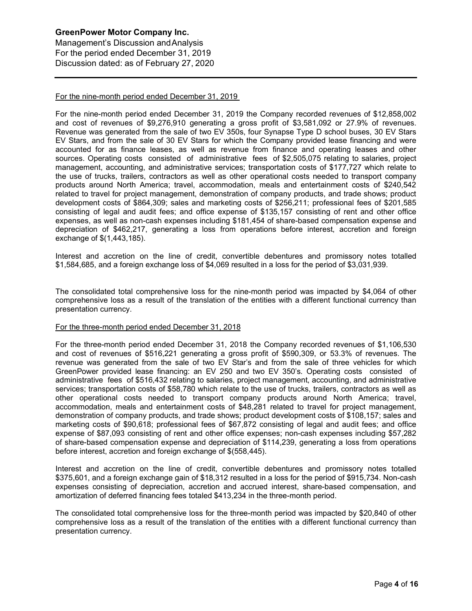Management's Discussion andAnalysis For the period ended December 31, 2019 Discussion dated: as of February 27, 2020

## For the nine-month period ended December 31, 2019

For the nine-month period ended December 31, 2019 the Company recorded revenues of \$12,858,002 and cost of revenues of \$9,276,910 generating a gross profit of \$3,581,092 or 27.9% of revenues. Revenue was generated from the sale of two EV 350s, four Synapse Type D school buses, 30 EV Stars EV Stars, and from the sale of 30 EV Stars for which the Company provided lease financing and were accounted for as finance leases, as well as revenue from finance and operating leases and other sources. Operating costs consisted of administrative fees of \$2,505,075 relating to salaries, project management, accounting, and administrative services; transportation costs of \$177,727 which relate to the use of trucks, trailers, contractors as well as other operational costs needed to transport company products around North America; travel, accommodation, meals and entertainment costs of \$240,542 related to travel for project management, demonstration of company products, and trade shows; product development costs of \$864,309; sales and marketing costs of \$256,211; professional fees of \$201,585 consisting of legal and audit fees; and office expense of \$135,157 consisting of rent and other office expenses, as well as non-cash expenses including \$181,454 of share-based compensation expense and depreciation of \$462,217, generating a loss from operations before interest, accretion and foreign exchange of \$(1,443,185).

Interest and accretion on the line of credit, convertible debentures and promissory notes totalled \$1,584,685, and a foreign exchange loss of \$4,069 resulted in a loss for the period of \$3,031,939.

The consolidated total comprehensive loss for the nine-month period was impacted by \$4,064 of other comprehensive loss as a result of the translation of the entities with a different functional currency than presentation currency.

#### For the three-month period ended December 31, 2018

For the three-month period ended December 31, 2018 the Company recorded revenues of \$1,106,530 and cost of revenues of \$516,221 generating a gross profit of \$590,309, or 53.3% of revenues. The revenue was generated from the sale of two EV Star's and from the sale of three vehicles for which GreenPower provided lease financing: an EV 250 and two EV 350's. Operating costs consisted of administrative fees of \$516,432 relating to salaries, project management, accounting, and administrative services; transportation costs of \$58,780 which relate to the use of trucks, trailers, contractors as well as other operational costs needed to transport company products around North America; travel, accommodation, meals and entertainment costs of \$48,281 related to travel for project management, demonstration of company products, and trade shows; product development costs of \$108,157; sales and marketing costs of \$90,618; professional fees of \$67,872 consisting of legal and audit fees; and office expense of \$87,093 consisting of rent and other office expenses; non-cash expenses including \$57,282 of share-based compensation expense and depreciation of \$114,239, generating a loss from operations before interest, accretion and foreign exchange of \$(558,445).

Interest and accretion on the line of credit, convertible debentures and promissory notes totalled \$375,601, and a foreign exchange gain of \$18,312 resulted in a loss for the period of \$915,734. Non-cash expenses consisting of depreciation, accretion and accrued interest, share-based compensation, and amortization of deferred financing fees totaled \$413,234 in the three-month period.

The consolidated total comprehensive loss for the three-month period was impacted by \$20,840 of other comprehensive loss as a result of the translation of the entities with a different functional currency than presentation currency.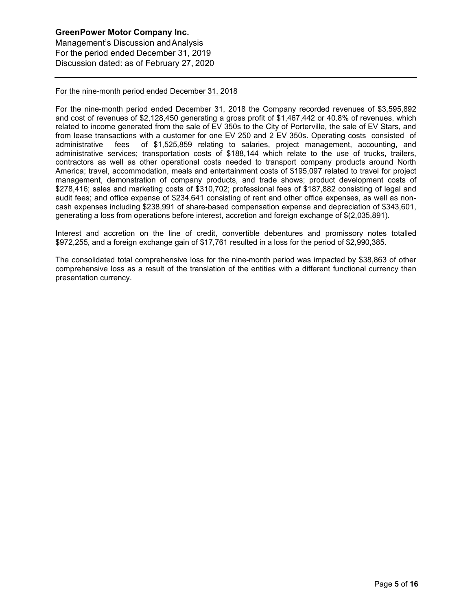Management's Discussion andAnalysis For the period ended December 31, 2019 Discussion dated: as of February 27, 2020

## For the nine-month period ended December 31, 2018

For the nine-month period ended December 31, 2018 the Company recorded revenues of \$3,595,892 and cost of revenues of \$2,128,450 generating a gross profit of \$1,467,442 or 40.8% of revenues, which related to income generated from the sale of EV 350s to the City of Porterville, the sale of EV Stars, and from lease transactions with a customer for one EV 250 and 2 EV 350s. Operating costs consisted of administrative fees of \$1,525,859 relating to salaries, project management, accounting, and administrative services; transportation costs of \$188,144 which relate to the use of trucks, trailers, contractors as well as other operational costs needed to transport company products around North America; travel, accommodation, meals and entertainment costs of \$195,097 related to travel for project management, demonstration of company products, and trade shows; product development costs of \$278,416; sales and marketing costs of \$310,702; professional fees of \$187,882 consisting of legal and audit fees; and office expense of \$234,641 consisting of rent and other office expenses, as well as noncash expenses including \$238,991 of share-based compensation expense and depreciation of \$343,601, generating a loss from operations before interest, accretion and foreign exchange of \$(2,035,891).

Interest and accretion on the line of credit, convertible debentures and promissory notes totalled \$972,255, and a foreign exchange gain of \$17,761 resulted in a loss for the period of \$2,990,385.

The consolidated total comprehensive loss for the nine-month period was impacted by \$38,863 of other comprehensive loss as a result of the translation of the entities with a different functional currency than presentation currency.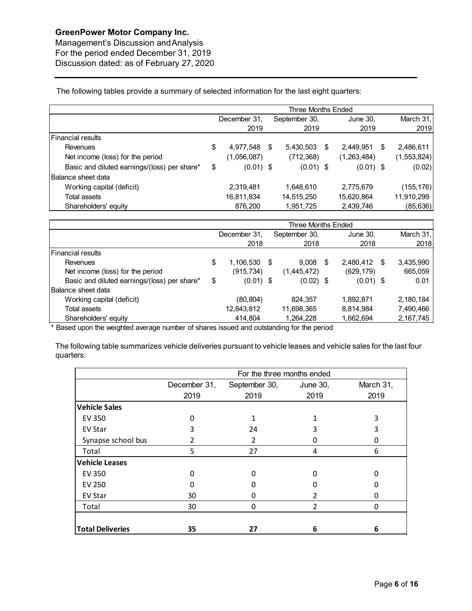Management's Discussion andAnalysis For the period ended December 31, 2019 Discussion dated: as of February 27, 2020

The following tables provide a summary of selected information for the last eight quarters:

|                                              | Three Months Ended |              |   |               |   |             |   |               |  |  |
|----------------------------------------------|--------------------|--------------|---|---------------|---|-------------|---|---------------|--|--|
|                                              |                    | December 31. |   | September 30, |   | June 30,    |   | March 31,     |  |  |
|                                              |                    | 2019         |   | 2019          |   | 2019        |   | 2019          |  |  |
| Financial results                            |                    |              |   |               |   |             |   |               |  |  |
| Revenues                                     | \$                 | 4,977,548    | S | 5,430,503     | S | 2.449.951   | S | 2,486,611     |  |  |
| Net income (loss) for the period             |                    | (1,056,087)  |   | (712, 368)    |   | (1,263,484) |   | (1, 553, 824) |  |  |
| Basic and diluted earnings/(loss) per share* | \$                 | $(0.01)$ \$  |   | $(0.01)$ \$   |   | $(0.01)$ \$ |   | (0.02)        |  |  |
| Balance sheet data                           |                    |              |   |               |   |             |   |               |  |  |
| Working capital (deficit)                    |                    | 2,319,481    |   | 1,648,610     |   | 2,775,679   |   | (155, 176)    |  |  |
| Total assets                                 |                    | 16,811,834   |   | 14,515,250    |   | 15,620,864  |   | 11,910,299    |  |  |
| Shareholders' equity                         |                    | 876,200      |   | 1,951,725     |   | 2,439,746   |   | (85, 636)     |  |  |

|                                              | Three Months Ended |              |  |               |    |              |  |             |  |  |
|----------------------------------------------|--------------------|--------------|--|---------------|----|--------------|--|-------------|--|--|
|                                              |                    | December 31, |  | September 30, |    | June 30,     |  | March $31,$ |  |  |
|                                              |                    | 2018         |  | 2018          |    | 2018         |  | 2018        |  |  |
| Financial results                            |                    |              |  |               |    |              |  |             |  |  |
| Revenues                                     | \$                 | 1,106,530 \$ |  | 9.008         | -S | 2,480,412 \$ |  | 3,435,990   |  |  |
| Net income (loss) for the period             |                    | (915, 734)   |  | (1,445,472)   |    | (629, 179)   |  | 665,059     |  |  |
| Basic and diluted earnings/(loss) per share* | \$                 | $(0.01)$ \$  |  | $(0.02)$ \$   |    | $(0.01)$ \$  |  | 0.01        |  |  |
| Balance sheet data                           |                    |              |  |               |    |              |  |             |  |  |
| Working capital (deficit)                    |                    | (80,804)     |  | 824,357       |    | 1,892,871    |  | 2,180,184   |  |  |
| Total assets                                 |                    | 12,843,812   |  | 11,698,365    |    | 8,814,984    |  | 7,490,466   |  |  |
| Shareholders' equity                         |                    | 414,804      |  | 1,264,228     |    | 1,662,694    |  | 2,167,745   |  |  |

\* Based upon the weighted average number of shares issued and outstanding for the period

The following table summarizes vehicle deliveries pursuant to vehicle leases and vehicle sales for the last four quarters:

|                         | For the three months ended |                |                |           |  |  |  |  |  |  |  |
|-------------------------|----------------------------|----------------|----------------|-----------|--|--|--|--|--|--|--|
|                         | December 31,               | September 30,  | June 30,       | March 31, |  |  |  |  |  |  |  |
|                         | 2019                       | 2019           | 2019           | 2019      |  |  |  |  |  |  |  |
| <b>Vehicle Sales</b>    |                            |                |                |           |  |  |  |  |  |  |  |
| <b>EV 350</b>           | 0                          |                |                | 3         |  |  |  |  |  |  |  |
| EV Star                 | ੨                          | 24             | 3              | 3         |  |  |  |  |  |  |  |
| Synapse school bus      |                            | $\mathfrak{p}$ |                | 0         |  |  |  |  |  |  |  |
| Total                   | 5                          | 27             | 4              | 6         |  |  |  |  |  |  |  |
| <b>Vehicle Leases</b>   |                            |                |                |           |  |  |  |  |  |  |  |
| EV 350                  | O                          |                |                | O         |  |  |  |  |  |  |  |
| <b>EV 250</b>           |                            |                |                |           |  |  |  |  |  |  |  |
| <b>EV Star</b>          | 30                         |                |                | 0         |  |  |  |  |  |  |  |
| Total                   | 30                         | 0              | $\mathfrak{p}$ | 0         |  |  |  |  |  |  |  |
|                         |                            |                |                |           |  |  |  |  |  |  |  |
| <b>Total Deliveries</b> | 35                         | 27             | 6              | 6         |  |  |  |  |  |  |  |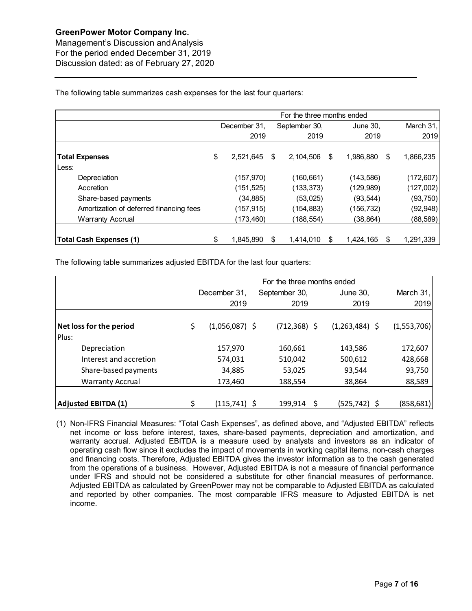Management's Discussion andAnalysis For the period ended December 31, 2019 Discussion dated: as of February 27, 2020

The following table summarizes cash expenses for the last four quarters:

|                                         |    | December 31, |    | September 30, | June 30, |            |     | March 31,  |
|-----------------------------------------|----|--------------|----|---------------|----------|------------|-----|------------|
|                                         |    | 2019         |    | 2019          |          | 2019       |     | 2019       |
| <b>Total Expenses</b>                   | \$ | 2,521,645    | \$ | 2,104,506     | \$       | 1,986,880  | \$  | 1,866,235  |
| Less:                                   |    |              |    |               |          |            |     |            |
| Depreciation                            |    | (157, 970)   |    | (160, 661)    |          | (143,586)  |     | (172, 607) |
| Accretion                               |    | (151, 525)   |    | (133, 373)    |          | (129,989)  |     | (127,002)  |
| Share-based payments                    |    | (34,885)     |    | (53,025)      |          | (93, 544)  |     | (93, 750)  |
| Amortization of deferred financing fees |    | (157, 915)   |    | (154, 883)    |          | (156, 732) |     | (92, 948)  |
| <b>Warranty Accrual</b>                 |    | (173,460)    |    | (188,554)     |          | (38, 864)  |     | (88, 589)  |
| <b>Total Cash Expenses (1)</b>          | \$ | 1,845,890    | \$ | 1,414,010     | S        | 1,424,165  | \$. | 1,291,339  |

The following table summarizes adjusted EBITDA for the last four quarters:

|                                  | For the three months ended |                  |  |                 |   |                  |             |  |
|----------------------------------|----------------------------|------------------|--|-----------------|---|------------------|-------------|--|
|                                  |                            | December 31,     |  | September 30,   |   | <b>June 30,</b>  | March $31,$ |  |
|                                  |                            | 2019             |  | 2019            |   | 2019             | 2019        |  |
| Net loss for the period<br>Plus: | \$                         | $(1,056,087)$ \$ |  | $(712, 368)$ \$ |   | $(1,263,484)$ \$ | (1,553,706) |  |
| Depreciation                     |                            | 157,970          |  | 160,661         |   | 143,586          | 172,607     |  |
| Interest and accretion           |                            | 574,031          |  | 510,042         |   | 500,612          | 428,668     |  |
| Share-based payments             |                            | 34,885           |  | 53,025          |   | 93,544           | 93,750      |  |
| <b>Warranty Accrual</b>          |                            | 173,460          |  | 188,554         |   | 38,864           | 88,589      |  |
| <b>Adjusted EBITDA (1)</b>       |                            | (115,741) \$     |  | 199,914         | S | (525,742) \$     | (858, 681)  |  |

(1) Non-IFRS Financial Measures: "Total Cash Expenses", as defined above, and "Adjusted EBITDA" reflects net income or loss before interest, taxes, share-based payments, depreciation and amortization, and warranty accrual. Adjusted EBITDA is a measure used by analysts and investors as an indicator of operating cash flow since it excludes the impact of movements in working capital items, non-cash charges and financing costs. Therefore, Adjusted EBITDA gives the investor information as to the cash generated from the operations of a business. However, Adjusted EBITDA is not a measure of financial performance under IFRS and should not be considered a substitute for other financial measures of performance. Adjusted EBITDA as calculated by GreenPower may not be comparable to Adjusted EBITDA as calculated and reported by other companies. The most comparable IFRS measure to Adjusted EBITDA is net income.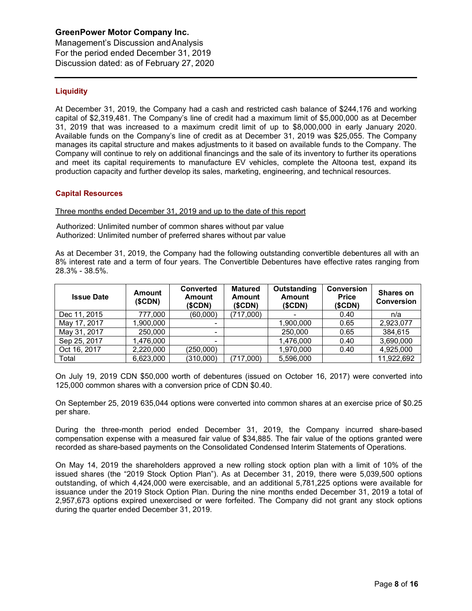Management's Discussion andAnalysis For the period ended December 31, 2019 Discussion dated: as of February 27, 2020

## **Liquidity**

At December 31, 2019, the Company had a cash and restricted cash balance of \$244,176 and working capital of \$2,319,481. The Company's line of credit had a maximum limit of \$5,000,000 as at December 31, 2019 that was increased to a maximum credit limit of up to \$8,000,000 in early January 2020. Available funds on the Company's line of credit as at December 31, 2019 was \$25,055. The Company manages its capital structure and makes adjustments to it based on available funds to the Company. The Company will continue to rely on additional financings and the sale of its inventory to further its operations and meet its capital requirements to manufacture EV vehicles, complete the Altoona test, expand its production capacity and further develop its sales, marketing, engineering, and technical resources.

## **Capital Resources**

Three months ended December 31, 2019 and up to the date of this report

Authorized: Unlimited number of common shares without par value Authorized: Unlimited number of preferred shares without par value

As at December 31, 2019, the Company had the following outstanding convertible debentures all with an 8% interest rate and a term of four years. The Convertible Debentures have effective rates ranging from 28.3% - 38.5%.

| <b>Issue Date</b> | <b>Amount</b><br>(SCDN) | <b>Converted</b><br><b>Amount</b><br>(SCDN) | <b>Matured</b><br><b>Amount</b><br>(SCDN) | Outstanding<br><b>Amount</b><br>(SCDN) | <b>Conversion</b><br><b>Price</b><br>(SCDN) | <b>Shares on</b><br><b>Conversion</b> |
|-------------------|-------------------------|---------------------------------------------|-------------------------------------------|----------------------------------------|---------------------------------------------|---------------------------------------|
| Dec 11, 2015      | 777,000                 | (60,000)                                    | (717,000)                                 |                                        | 0.40                                        | n/a                                   |
| May 17, 2017      | 1,900,000               | ۰                                           |                                           | 1.900.000                              | 0.65                                        | 2,923,077                             |
| May 31, 2017      | 250,000                 | -                                           |                                           | 250,000                                | 0.65                                        | 384,615                               |
| Sep 25, 2017      | 1,476,000               | -                                           |                                           | 1,476,000                              | 0.40                                        | 3,690,000                             |
| Oct 16, 2017      | 2,220,000               | (250,000)                                   |                                           | 1,970,000                              | 0.40                                        | 4,925,000                             |
| Total             | 6.623.000               | (310,000)                                   | (717,000)                                 | 5,596,000                              |                                             | 11,922,692                            |

On July 19, 2019 CDN \$50,000 worth of debentures (issued on October 16, 2017) were converted into 125,000 common shares with a conversion price of CDN \$0.40.

On September 25, 2019 635,044 options were converted into common shares at an exercise price of \$0.25 per share.

During the three-month period ended December 31, 2019, the Company incurred share-based compensation expense with a measured fair value of \$34,885. The fair value of the options granted were recorded as share-based payments on the Consolidated Condensed Interim Statements of Operations.

On May 14, 2019 the shareholders approved a new rolling stock option plan with a limit of 10% of the issued shares (the "2019 Stock Option Plan"). As at December 31, 2019, there were 5,039,500 options outstanding, of which 4,424,000 were exercisable, and an additional 5,781,225 options were available for issuance under the 2019 Stock Option Plan. During the nine months ended December 31, 2019 a total of 2,957,673 options expired unexercised or were forfeited. The Company did not grant any stock options during the quarter ended December 31, 2019.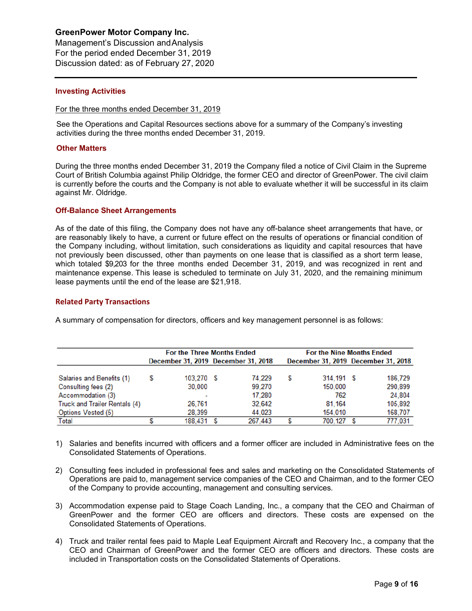Management's Discussion andAnalysis For the period ended December 31, 2019 Discussion dated: as of February 27, 2020

## **Investing Activities**

### For the three months ended December 31, 2019

See the Operations and Capital Resources sections above for a summary of the Company's investing activities during the three months ended December 31, 2019.

## **Other Matters**

During the three months ended December 31, 2019 the Company filed a notice of Civil Claim in the Supreme Court of British Columbia against Philip Oldridge, the former CEO and director of GreenPower. The civil claim is currently before the courts and the Company is not able to evaluate whether it will be successful in its claim against Mr. Oldridge.

## **Off-Balance Sheet Arrangements**

As of the date of this filing, the Company does not have any off-balance sheet arrangements that have, or are reasonably likely to have, a current or future effect on the results of operations or financial condition of the Company including, without limitation, such considerations as liquidity and capital resources that have not previously been discussed, other than payments on one lease that is classified as a short term lease, which totaled \$9,203 for the three months ended December 31, 2019, and was recognized in rent and maintenance expense. This lease is scheduled to terminate on July 31, 2020, and the remaining minimum lease payments until the end of the lease are \$21,918.

## **Related Party Transactions**

A summary of compensation for directors, officers and key management personnel is as follows:

|                               |   | <b>For the Three Months Ended</b> |                                     |   | <b>For the Nine Months Ended</b> |                                     |
|-------------------------------|---|-----------------------------------|-------------------------------------|---|----------------------------------|-------------------------------------|
|                               |   |                                   | December 31, 2019 December 31, 2018 |   |                                  | December 31, 2019 December 31, 2018 |
| Salaries and Benefits (1)     | S | 103.270 S                         | 74.229                              | s | 314.191 S                        | 186.729                             |
| Consulting fees (2)           |   | 30,000                            | 99.270                              |   | 150,000                          | 290,899                             |
| Accommodation (3)             |   | -                                 | 17.280                              |   | 762                              | 24,804                              |
| Truck and Trailer Rentals (4) |   | 26.761                            | 32.642                              |   | 81.164                           | 105.892                             |
| <b>Options Vested (5)</b>     |   | 28.399                            | 44,023                              |   | 154,010                          | 168,707                             |
| <b>Total</b>                  |   | 188,431                           | 267,443                             | S | 700,127                          | 777,031                             |

- 1) Salaries and benefits incurred with officers and a former officer are included in Administrative fees on the Consolidated Statements of Operations.
- 2) Consulting fees included in professional fees and sales and marketing on the Consolidated Statements of Operations are paid to, management service companies of the CEO and Chairman, and to the former CEO of the Company to provide accounting, management and consulting services.
- 3) Accommodation expense paid to Stage Coach Landing, Inc., a company that the CEO and Chairman of GreenPower and the former CEO are officers and directors. These costs are expensed on the Consolidated Statements of Operations.
- 4) Truck and trailer rental fees paid to Maple Leaf Equipment Aircraft and Recovery Inc., a company that the CEO and Chairman of GreenPower and the former CEO are officers and directors. These costs are included in Transportation costs on the Consolidated Statements of Operations.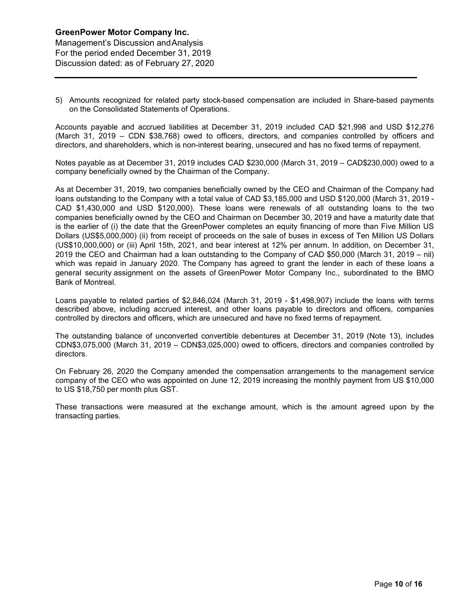## **GreenPower Motor Company Inc.**  Management's Discussion andAnalysis For the period ended December 31, 2019 Discussion dated: as of February 27, 2020

5) Amounts recognized for related party stock-based compensation are included in Share-based payments on the Consolidated Statements of Operations.

Accounts payable and accrued liabilities at December 31, 2019 included CAD \$21,998 and USD \$12,276 (March 31, 2019 – CDN \$38,768) owed to officers, directors, and companies controlled by officers and directors, and shareholders, which is non-interest bearing, unsecured and has no fixed terms of repayment.

Notes payable as at December 31, 2019 includes CAD \$230,000 (March 31, 2019 – CAD\$230,000) owed to a company beneficially owned by the Chairman of the Company.

As at December 31, 2019, two companies beneficially owned by the CEO and Chairman of the Company had loans outstanding to the Company with a total value of CAD \$3,185,000 and USD \$120,000 (March 31, 2019 - CAD \$1,430,000 and USD \$120,000). These loans were renewals of all outstanding loans to the two companies beneficially owned by the CEO and Chairman on December 30, 2019 and have a maturity date that is the earlier of (i) the date that the GreenPower completes an equity financing of more than Five Million US Dollars (US\$5,000,000) (ii) from receipt of proceeds on the sale of buses in excess of Ten Million US Dollars (US\$10,000,000) or (iii) April 15th, 2021, and bear interest at 12% per annum. In addition, on December 31, 2019 the CEO and Chairman had a loan outstanding to the Company of CAD \$50,000 (March 31, 2019 – nil) which was repaid in January 2020. The Company has agreed to grant the lender in each of these loans a general security assignment on the assets of GreenPower Motor Company Inc., subordinated to the BMO Bank of Montreal.

Loans payable to related parties of \$2,846,024 (March 31, 2019 - \$1,498,907) include the loans with terms described above, including accrued interest, and other loans payable to directors and officers, companies controlled by directors and officers, which are unsecured and have no fixed terms of repayment.

The outstanding balance of unconverted convertible debentures at December 31, 2019 (Note 13), includes CDN\$3,075,000 (March 31, 2019 – CDN\$3,025,000) owed to officers, directors and companies controlled by directors.

On February 26, 2020 the Company amended the compensation arrangements to the management service company of the CEO who was appointed on June 12, 2019 increasing the monthly payment from US \$10,000 to US \$18,750 per month plus GST.

These transactions were measured at the exchange amount, which is the amount agreed upon by the transacting parties.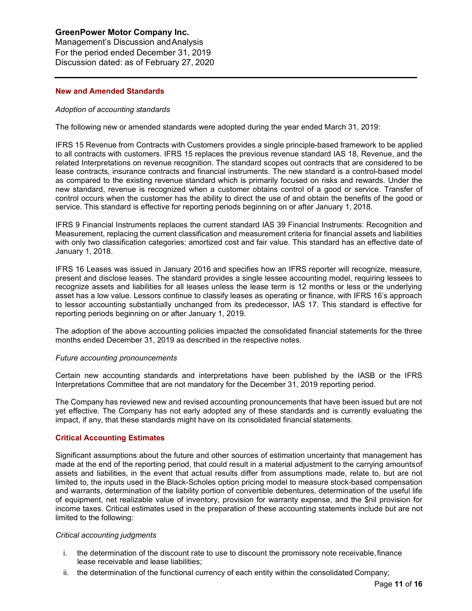Management's Discussion andAnalysis For the period ended December 31, 2019 Discussion dated: as of February 27, 2020

## **New and Amended Standards**

## *Adoption of accounting standards*

The following new or amended standards were adopted during the year ended March 31, 2019:

IFRS 15 Revenue from Contracts with Customers provides a single principle-based framework to be applied to all contracts with customers. IFRS 15 replaces the previous revenue standard IAS 18, Revenue, and the related Interpretations on revenue recognition. The standard scopes out contracts that are considered to be lease contracts, insurance contracts and financial instruments. The new standard is a control-based model as compared to the existing revenue standard which is primarily focused on risks and rewards. Under the new standard, revenue is recognized when a customer obtains control of a good or service. Transfer of control occurs when the customer has the ability to direct the use of and obtain the benefits of the good or service. This standard is effective for reporting periods beginning on or after January 1, 2018.

IFRS 9 Financial Instruments replaces the current standard IAS 39 Financial Instruments: Recognition and Measurement, replacing the current classification and measurement criteria for financial assets and liabilities with only two classification categories: amortized cost and fair value. This standard has an effective date of January 1, 2018.

IFRS 16 Leases was issued in January 2016 and specifies how an IFRS reporter will recognize, measure, present and disclose leases. The standard provides a single lessee accounting model, requiring lessees to recognize assets and liabilities for all leases unless the lease term is 12 months or less or the underlying asset has a low value. Lessors continue to classify leases as operating or finance, with IFRS 16's approach to lessor accounting substantially unchanged from its predecessor, IAS 17. This standard is effective for reporting periods beginning on or after January 1, 2019.

The adoption of the above accounting policies impacted the consolidated financial statements for the three months ended December 31, 2019 as described in the respective notes.

#### *Future accounting pronouncements*

Certain new accounting standards and interpretations have been published by the IASB or the IFRS Interpretations Committee that are not mandatory for the December 31, 2019 reporting period.

The Company has reviewed new and revised accounting pronouncements that have been issued but are not yet effective. The Company has not early adopted any of these standards and is currently evaluating the impact, if any, that these standards might have on its consolidated financial statements.

## **Critical Accounting Estimates**

Significant assumptions about the future and other sources of estimation uncertainty that management has made at the end of the reporting period, that could result in a material adjustment to the carrying amountsof assets and liabilities, in the event that actual results differ from assumptions made, relate to, but are not limited to, the inputs used in the Black-Scholes option pricing model to measure stock-based compensation and warrants, determination of the liability portion of convertible debentures, determination of the useful life of equipment, net realizable value of inventory, provision for warranty expense, and the \$nil provision for income taxes. Critical estimates used in the preparation of these accounting statements include but are not limited to the following:

#### *Critical accounting judgments*

- i. the determination of the discount rate to use to discount the promissory note receivable,finance lease receivable and lease liabilities;
- ii. the determination of the functional currency of each entity within the consolidated Company;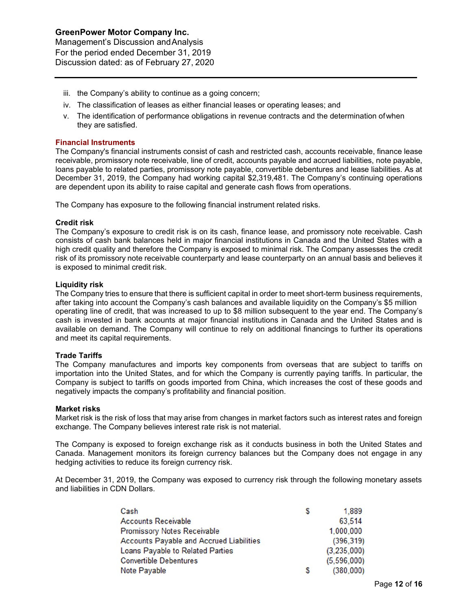- iii. the Company's ability to continue as a going concern;
- iv. The classification of leases as either financial leases or operating leases; and
- v. The identification of performance obligations in revenue contracts and the determination ofwhen they are satisfied.

## **Financial Instruments**

The Company's financial instruments consist of cash and restricted cash, accounts receivable, finance lease receivable, promissory note receivable, line of credit, accounts payable and accrued liabilities, note payable, loans payable to related parties, promissory note payable, convertible debentures and lease liabilities. As at December 31, 2019, the Company had working capital \$2,319,481. The Company's continuing operations are dependent upon its ability to raise capital and generate cash flows from operations.

The Company has exposure to the following financial instrument related risks.

## **Credit risk**

The Company's exposure to credit risk is on its cash, finance lease, and promissory note receivable. Cash consists of cash bank balances held in major financial institutions in Canada and the United States with a high credit quality and therefore the Company is exposed to minimal risk. The Company assesses the credit risk of its promissory note receivable counterparty and lease counterparty on an annual basis and believes it is exposed to minimal credit risk.

#### **Liquidity risk**

The Company tries to ensure that there is sufficient capital in order to meet short-term business requirements, after taking into account the Company's cash balances and available liquidity on the Company's \$5 million operating line of credit, that was increased to up to \$8 million subsequent to the year end. The Company's cash is invested in bank accounts at major financial institutions in Canada and the United States and is available on demand. The Company will continue to rely on additional financings to further its operations and meet its capital requirements.

## **Trade Tariffs**

The Company manufactures and imports key components from overseas that are subject to tariffs on importation into the United States, and for which the Company is currently paying tariffs. In particular, the Company is subject to tariffs on goods imported from China, which increases the cost of these goods and negatively impacts the company's profitability and financial position.

#### **Market risks**

Market risk is the risk of loss that may arise from changes in market factors such as interest rates and foreign exchange. The Company believes interest rate risk is not material.

The Company is exposed to foreign exchange risk as it conducts business in both the United States and Canada. Management monitors its foreign currency balances but the Company does not engage in any hedging activities to reduce its foreign currency risk.

At December 31, 2019, the Company was exposed to currency risk through the following monetary assets and liabilities in CDN Dollars.

| Cash                                            | S | 1,889       |
|-------------------------------------------------|---|-------------|
| <b>Accounts Receivable</b>                      |   | 63,514      |
| <b>Promissory Notes Receivable</b>              |   | 1,000,000   |
| <b>Accounts Payable and Accrued Liabilities</b> |   | (396, 319)  |
| Loans Payable to Related Parties                |   | (3,235,000) |
| <b>Convertible Debentures</b>                   |   | (5,596,000) |
| Note Payable                                    | S | (380,000)   |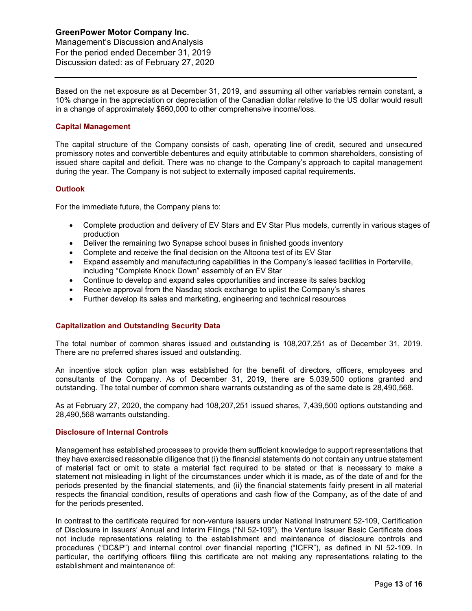Management's Discussion andAnalysis For the period ended December 31, 2019 Discussion dated: as of February 27, 2020

Based on the net exposure as at December 31, 2019, and assuming all other variables remain constant, a 10% change in the appreciation or depreciation of the Canadian dollar relative to the US dollar would result in a change of approximately \$660,000 to other comprehensive income/loss.

## **Capital Management**

The capital structure of the Company consists of cash, operating line of credit, secured and unsecured promissory notes and convertible debentures and equity attributable to common shareholders, consisting of issued share capital and deficit. There was no change to the Company's approach to capital management during the year. The Company is not subject to externally imposed capital requirements.

## **Outlook**

For the immediate future, the Company plans to:

- Complete production and delivery of EV Stars and EV Star Plus models, currently in various stages of production
- Deliver the remaining two Synapse school buses in finished goods inventory
- Complete and receive the final decision on the Altoona test of its EV Star
- Expand assembly and manufacturing capabilities in the Company's leased facilities in Porterville, including "Complete Knock Down" assembly of an EV Star
- Continue to develop and expand sales opportunities and increase its sales backlog
- Receive approval from the Nasdaq stock exchange to uplist the Company's shares
- Further develop its sales and marketing, engineering and technical resources

## **Capitalization and Outstanding Security Data**

The total number of common shares issued and outstanding is 108,207,251 as of December 31, 2019. There are no preferred shares issued and outstanding.

An incentive stock option plan was established for the benefit of directors, officers, employees and consultants of the Company. As of December 31, 2019, there are 5,039,500 options granted and outstanding. The total number of common share warrants outstanding as of the same date is 28,490,568.

As at February 27, 2020, the company had 108,207,251 issued shares, 7,439,500 options outstanding and 28,490,568 warrants outstanding.

## **Disclosure of Internal Controls**

Management has established processes to provide them sufficient knowledge to support representations that they have exercised reasonable diligence that (i) the financial statements do not contain any untrue statement of material fact or omit to state a material fact required to be stated or that is necessary to make a statement not misleading in light of the circumstances under which it is made, as of the date of and for the periods presented by the financial statements, and (ii) the financial statements fairly present in all material respects the financial condition, results of operations and cash flow of the Company, as of the date of and for the periods presented.

In contrast to the certificate required for non-venture issuers under National Instrument 52-109, Certification of Disclosure in Issuers' Annual and Interim Filings ("NI 52-109"), the Venture Issuer Basic Certificate does not include representations relating to the establishment and maintenance of disclosure controls and procedures ("DC&P") and internal control over financial reporting ("ICFR"), as defined in NI 52-109. In particular, the certifying officers filing this certificate are not making any representations relating to the establishment and maintenance of: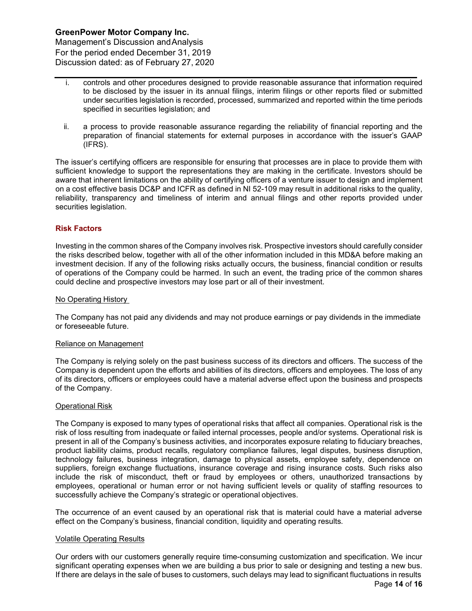Management's Discussion andAnalysis For the period ended December 31, 2019 Discussion dated: as of February 27, 2020

- i. controls and other procedures designed to provide reasonable assurance that information required to be disclosed by the issuer in its annual filings, interim filings or other reports filed or submitted under securities legislation is recorded, processed, summarized and reported within the time periods specified in securities legislation; and
- ii. a process to provide reasonable assurance regarding the reliability of financial reporting and the preparation of financial statements for external purposes in accordance with the issuer's GAAP (IFRS).

The issuer's certifying officers are responsible for ensuring that processes are in place to provide them with sufficient knowledge to support the representations they are making in the certificate. Investors should be aware that inherent limitations on the ability of certifying officers of a venture issuer to design and implement on a cost effective basis DC&P and ICFR as defined in NI 52-109 may result in additional risks to the quality, reliability, transparency and timeliness of interim and annual filings and other reports provided under securities legislation.

## **Risk Factors**

Investing in the common shares of the Company involves risk. Prospective investors should carefully consider the risks described below, together with all of the other information included in this MD&A before making an investment decision. If any of the following risks actually occurs, the business, financial condition or results of operations of the Company could be harmed. In such an event, the trading price of the common shares could decline and prospective investors may lose part or all of their investment.

## No Operating History

The Company has not paid any dividends and may not produce earnings or pay dividends in the immediate or foreseeable future.

## Reliance on Management

The Company is relying solely on the past business success of its directors and officers. The success of the Company is dependent upon the efforts and abilities of its directors, officers and employees. The loss of any of its directors, officers or employees could have a material adverse effect upon the business and prospects of the Company.

## Operational Risk

The Company is exposed to many types of operational risks that affect all companies. Operational risk is the risk of loss resulting from inadequate or failed internal processes, people and/or systems. Operational risk is present in all of the Company's business activities, and incorporates exposure relating to fiduciary breaches, product liability claims, product recalls, regulatory compliance failures, legal disputes, business disruption, technology failures, business integration, damage to physical assets, employee safety, dependence on suppliers, foreign exchange fluctuations, insurance coverage and rising insurance costs. Such risks also include the risk of misconduct, theft or fraud by employees or others, unauthorized transactions by employees, operational or human error or not having sufficient levels or quality of staffing resources to successfully achieve the Company's strategic or operational objectives.

The occurrence of an event caused by an operational risk that is material could have a material adverse effect on the Company's business, financial condition, liquidity and operating results.

## Volatile Operating Results

Our orders with our customers generally require time-consuming customization and specification. We incur significant operating expenses when we are building a bus prior to sale or designing and testing a new bus. If there are delays in the sale of buses to customers, such delays may lead to significant fluctuations in results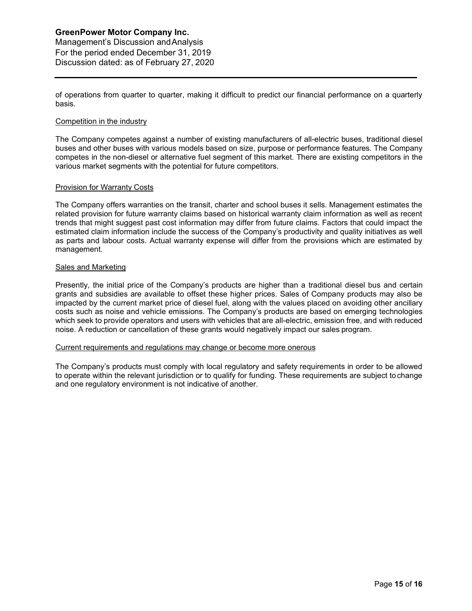Management's Discussion andAnalysis For the period ended December 31, 2019 Discussion dated: as of February 27, 2020

of operations from quarter to quarter, making it difficult to predict our financial performance on a quarterly basis.

### Competition in the industry

The Company competes against a number of existing manufacturers of all-electric buses, traditional diesel buses and other buses with various models based on size, purpose or performance features. The Company competes in the non-diesel or alternative fuel segment of this market. There are existing competitors in the various market segments with the potential for future competitors.

#### Provision for Warranty Costs

The Company offers warranties on the transit, charter and school buses it sells. Management estimates the related provision for future warranty claims based on historical warranty claim information as well as recent trends that might suggest past cost information may differ from future claims. Factors that could impact the estimated claim information include the success of the Company's productivity and quality initiatives as well as parts and labour costs. Actual warranty expense will differ from the provisions which are estimated by management.

#### Sales and Marketing

Presently, the initial price of the Company's products are higher than a traditional diesel bus and certain grants and subsidies are available to offset these higher prices. Sales of Company products may also be impacted by the current market price of diesel fuel, along with the values placed on avoiding other ancillary costs such as noise and vehicle emissions. The Company's products are based on emerging technologies which seek to provide operators and users with vehicles that are all-electric, emission free, and with reduced noise. A reduction or cancellation of these grants would negatively impact our sales program.

## Current requirements and regulations may change or become more onerous

The Company's products must comply with local regulatory and safety requirements in order to be allowed to operate within the relevant jurisdiction or to qualify for funding. These requirements are subject tochange and one regulatory environment is not indicative of another.